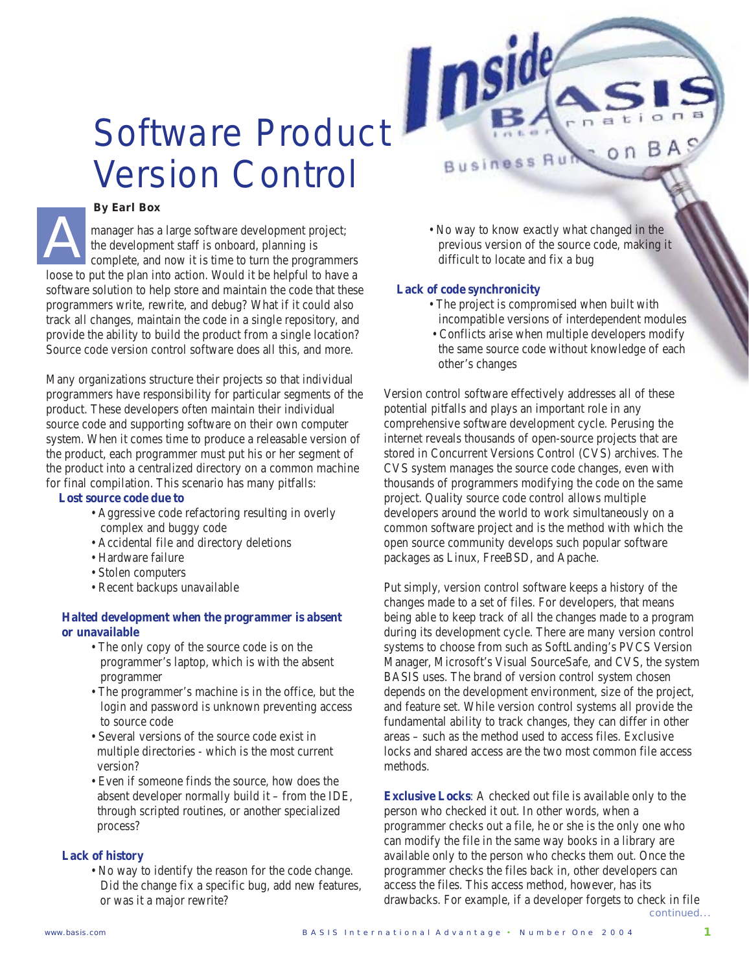# Software Product Version Control

#### *By Earl Box*

manager has a large software development project; the development staff is onboard, planning is complete, and now it is time to turn the programmers loose to put the plan into action. Would it be helpful to have a software solution to help store and maintain the code that these programmers write, rewrite, and debug? What if it could also track all changes, maintain the code in a single repository, and provide the ability to build the product from a single location? Source code version control software does all this, and more. A

Many organizations structure their projects so that individual programmers have responsibility for particular segments of the product. These developers often maintain their individual source code and supporting software on their own computer system. When it comes time to produce a releasable version of the product, each programmer must put his or her segment of the product into a centralized directory on a common machine for final compilation. This scenario has many pitfalls:

### **Lost source code due to**

- Aggressive code refactoring resulting in overly complex and buggy code
- Accidental file and directory deletions
- Hardware failure
- Stolen computers
- Recent backups unavailable

## **Halted development when the programmer is absent or unavailable**

- The only copy of the source code is on the programmer's laptop, which is with the absent programmer
- The programmer's machine is in the office, but the login and password is unknown preventing access to source code
- Several versions of the source code exist in multiple directories - which is the most current version?
- Even if someone finds the source, how does the absent developer normally build it – from the IDE, through scripted routines, or another specialized process?

## **Lack of history**

• No way to identify the reason for the code change. Did the change fix a specific bug, add new features, or was it a major rewrite?

• No way to know exactly what changed in the previous version of the source code, making it difficult to locate and fix a bug

**Business Run** 

 $o<sub>n</sub>$ 

### **Lack of code synchronicity**

- The project is compromised when built with incompatible versions of interdependent modules
- Conflicts arise when multiple developers modify the same source code without knowledge of each other's changes

Version control software effectively addresses all of these potential pitfalls and plays an important role in any comprehensive software development cycle. Perusing the internet reveals thousands of open-source projects that are stored in Concurrent Versions Control (CVS) archives. The CVS system manages the source code changes, even with thousands of programmers modifying the code on the same project. Quality source code control allows multiple developers around the world to work simultaneously on a common software project and is the method with which the open source community develops such popular software packages as Linux, FreeBSD, and Apache.

Put simply, version control software keeps a history of the changes made to a set of files. For developers, that means being able to keep track of all the changes made to a program during its development cycle. There are many version control systems to choose from such as SoftLanding's PVCS Version Manager, Microsoft's Visual SourceSafe, and CVS, the system BASIS uses. The brand of version control system chosen depends on the development environment, size of the project, and feature set. While version control systems all provide the fundamental ability to track changes, they can differ in other areas – such as the method used to access files. Exclusive locks and shared access are the two most common file access methods.

continued... **Exclusive Locks**: A checked out file is available only to the person who checked it out. In other words, when a programmer checks out a file, he or she is the only one who can modify the file in the same way books in a library are available only to the person who checks them out. Once the programmer checks the files back in, other developers can access the files. This access method, however, has its drawbacks. For example, if a developer forgets to check in file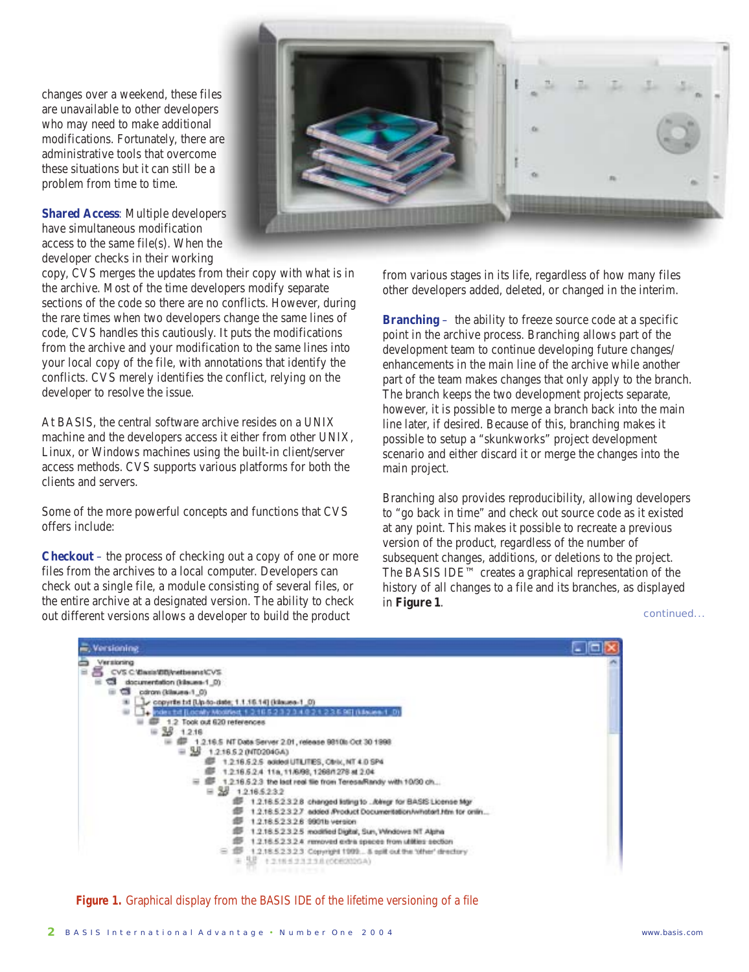changes over a weekend, these files are unavailable to other developers who may need to make additional modifications. Fortunately, there are administrative tools that overcome these situations but it can still be a problem from time to time.

**Shared Access**: Multiple developers have simultaneous modification access to the same file(s). When the developer checks in their working

copy, CVS merges the updates from their copy with what is in the archive. Most of the time developers modify separate sections of the code so there are no conflicts. However, during the rare times when two developers change the same lines of code, CVS handles this cautiously. It puts the modifications from the archive and your modification to the same lines into your local copy of the file, with annotations that identify the conflicts. CVS merely identifies the conflict, relying on the developer to resolve the issue.

At BASIS, the central software archive resides on a UNIX machine and the developers access it either from other UNIX, Linux, or Windows machines using the built-in client/server access methods. CVS supports various platforms for both the clients and servers.

Some of the more powerful concepts and functions that CVS offers include:

**Checkout** – the process of checking out a copy of one or more files from the archives to a local computer. Developers can check out a single file, a module consisting of several files, or the entire archive at a designated version. The ability to check out different versions allows a developer to build the product

from various stages in its life, regardless of how many files other developers added, deleted, or changed in the interim.

**Branching** – the ability to freeze source code at a specific point in the archive process. Branching allows part of the development team to continue developing future changes/ enhancements in the main line of the archive while another part of the team makes changes that only apply to the branch. The branch keeps the two development projects separate, however, it is possible to merge a branch back into the main line later, if desired. Because of this, branching makes it possible to setup a "skunkworks" project development scenario and either discard it or merge the changes into the main project.

Branching also provides reproducibility, allowing developers to "go back in time" and check out source code as it existed at any point. This makes it possible to recreate a previous version of the product, regardless of the number of subsequent changes, additions, or deletions to the project. The BASIS IDE™ creates a graphical representation of the history of all changes to a file and its branches, as displayed in **Figure 1**.

continued...



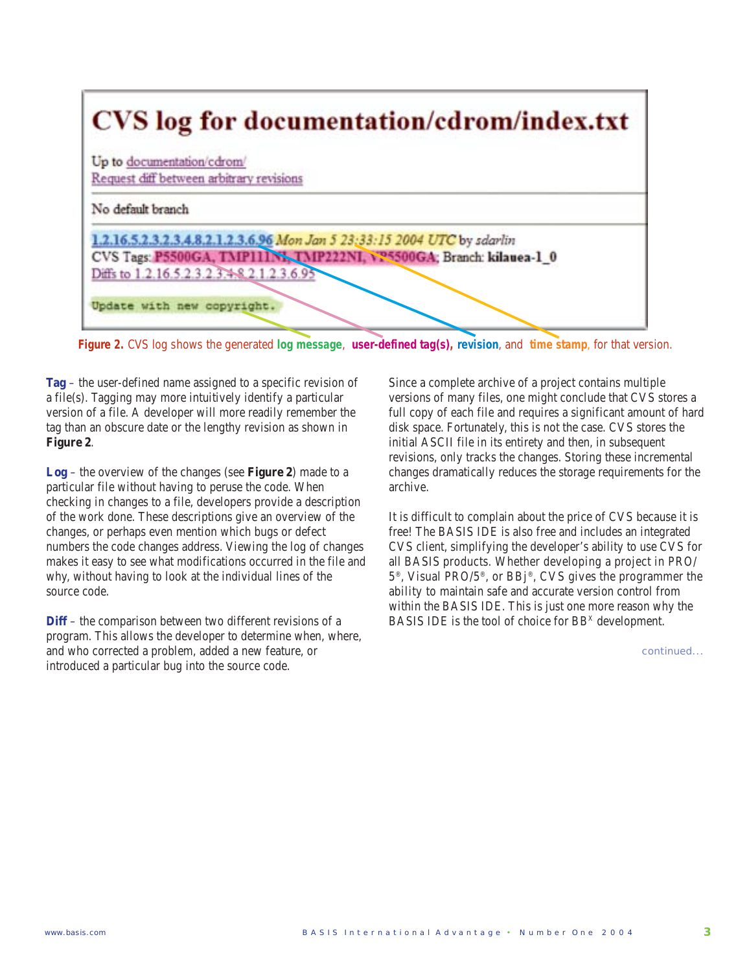

**Figure 2.** CVS log shows the generated **log message**, **user-defined tag(s), revision**, and **time stamp**, for that version.

**Tag** – the user-defined name assigned to a specific revision of a file(s). Tagging may more intuitively identify a particular version of a file. A developer will more readily remember the tag than an obscure date or the lengthy revision as shown in **Figure 2**.

**Log** – the overview of the changes (see **Figure 2**) made to a particular file without having to peruse the code. When checking in changes to a file, developers provide a description of the work done. These descriptions give an overview of the changes, or perhaps even mention which bugs or defect numbers the code changes address. Viewing the log of changes makes it easy to see what modifications occurred in the file and why, without having to look at the individual lines of the source code.

**Diff** – the comparison between two different revisions of a program. This allows the developer to determine when, where, and who corrected a problem, added a new feature, or introduced a particular bug into the source code.

Since a complete archive of a project contains multiple versions of many files, one might conclude that CVS stores a full copy of each file and requires a significant amount of hard disk space. Fortunately, this is not the case. CVS stores the initial ASCII file in its entirety and then, in subsequent revisions, only tracks the changes. Storing these incremental changes dramatically reduces the storage requirements for the archive.

It is difficult to complain about the price of CVS because it is free! The BASIS IDE is also free and includes an integrated CVS client, simplifying the developer's ability to use CVS for all BASIS products. Whether developing a project in PRO/ 5®, Visual PRO/5®, or BBj®, CVS gives the programmer the ability to maintain safe and accurate version control from within the BASIS IDE. This is just one more reason why the BASIS IDE is the tool of choice for BB<sup>x</sup> development.

continued...